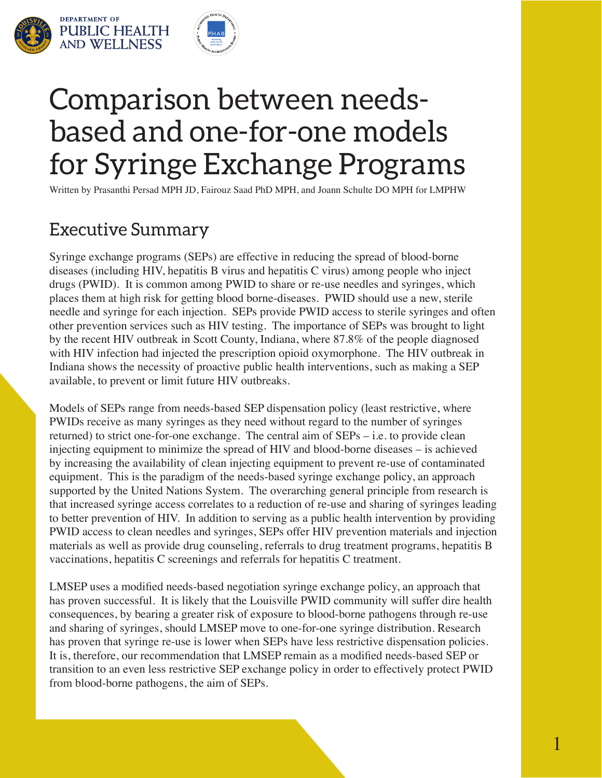



# Comparison between needsbased and one-for-one models for Syringe Exchange Programs

Written by Prasanthi Persad MPH JD, Fairouz Saad PhD MPH, and Joann Schulte DO MPH for LMPHW

## Executive Summary

Syringe exchange programs (SEPs) are effective in reducing the spread of blood-borne diseases (including HIV, hepatitis B virus and hepatitis C virus) among people who inject drugs (PWID). It is common among PWID to share or re-use needles and syringes, which places them at high risk for getting blood borne-diseases. PWID should use a new, sterile needle and syringe for each injection. SEPs provide PWID access to sterile syringes and often other prevention services such as HIV testing. The importance of SEPs was brought to light by the recent HIV outbreak in Scott County, Indiana, where 87.8% of the people diagnosed with HIV infection had injected the prescription opioid oxymorphone. The HIV outbreak in Indiana shows the necessity of proactive public health interventions, such as making a SEP available, to prevent or limit future HIV outbreaks.

Models of SEPs range from needs-based SEP dispensation policy (least restrictive, where PWIDs receive as many syringes as they need without regard to the number of syringes returned) to strict one-for-one exchange. The central aim of SEPs – i.e. to provide clean injecting equipment to minimize the spread of HIV and blood-borne diseases – is achieved by increasing the availability of clean injecting equipment to prevent re-use of contaminated equipment. This is the paradigm of the needs-based syringe exchange policy, an approach supported by the United Nations System. The overarching general principle from research is that increased syringe access correlates to a reduction of re-use and sharing of syringes leading to better prevention of HIV. In addition to serving as a public health intervention by providing PWID access to clean needles and syringes, SEPs offer HIV prevention materials and injection materials as well as provide drug counseling, referrals to drug treatment programs, hepatitis B vaccinations, hepatitis C screenings and referrals for hepatitis C treatment.

LMSEP uses a modified needs-based negotiation syringe exchange policy, an approach that has proven successful. It is likely that the Louisville PWID community will suffer dire health consequences, by bearing a greater risk of exposure to blood-borne pathogens through re-use and sharing of syringes, should LMSEP move to one-for-one syringe distribution. Research has proven that syringe re-use is lower when SEPs have less restrictive dispensation policies. It is, therefore, our recommendation that LMSEP remain as a modified needs-based SEP or transition to an even less restrictive SEP exchange policy in order to effectively protect PWID from blood-borne pathogens, the aim of SEPs.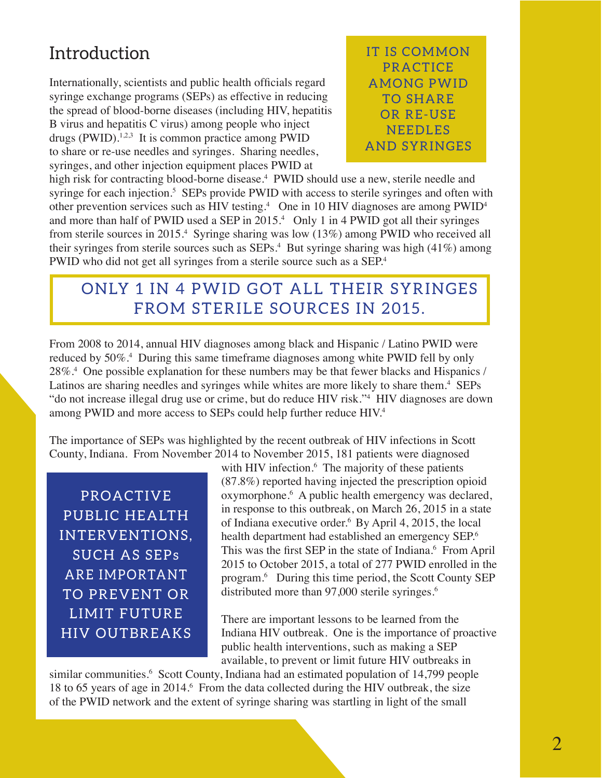## Introduction

Internationally, scientists and public health officials regard syringe exchange programs (SEPs) as effective in reducing the spread of blood-borne diseases (including HIV, hepatitis B virus and hepatitis C virus) among people who inject drugs (PWID).<sup>1,2,3</sup> It is common practice among PWID to share or re-use needles and syringes. Sharing needles, syringes, and other injection equipment places PWID at

**IT IS COMMON PRACTICE AMONG PWID** TO SHARE OR RE-USE NEEDLES AND SYRINGES

high risk for contracting blood-borne disease.<sup>4</sup> PWID should use a new, sterile needle and syringe for each injection.<sup>5</sup> SEPs provide PWID with access to sterile syringes and often with other prevention services such as HIV testing.<sup>4</sup> One in 10 HIV diagnoses are among  $PWID<sup>4</sup>$ and more than half of PWID used a SEP in 2015.<sup>4</sup> Only 1 in 4 PWID got all their syringes from sterile sources in 2015.<sup>4</sup> Syringe sharing was low (13%) among PWID who received all their syringes from sterile sources such as SEPs.<sup>4</sup> But syringe sharing was high (41%) among PWID who did not get all syringes from a sterile source such as a SEP.<sup>4</sup>

## ONLY 1 IN 4 PWID GOT ALL THEIR SYRINGES FROM STERILE SOURCES IN 2015.

From 2008 to 2014, annual HIV diagnoses among black and Hispanic / Latino PWID were reduced by 50%.<sup>4</sup> During this same timeframe diagnoses among white PWID fell by only 28%.4 One possible explanation for these numbers may be that fewer blacks and Hispanics / Latinos are sharing needles and syringes while whites are more likely to share them.<sup>4</sup> SEPs "do not increase illegal drug use or crime, but do reduce HIV risk."4 HIV diagnoses are down among PWID and more access to SEPs could help further reduce HIV.<sup>4</sup>

The importance of SEPs was highlighted by the recent outbreak of HIV infections in Scott County, Indiana. From November 2014 to November 2015, 181 patients were diagnosed

PROACTIVE PUBLIC HEALTH INTERVENTIONS, SUCH AS SEPs ARE IMPORTANT TO PREVENT OR LIMIT FUTURE HIV OUTBREAKS

with HIV infection.<sup>6</sup> The majority of these patients (87.8%) reported having injected the prescription opioid oxymorphone.<sup>6</sup> A public health emergency was declared, in response to this outbreak, on March 26, 2015 in a state of Indiana executive order.6 By April 4, 2015, the local health department had established an emergency SEP.<sup>6</sup> This was the first SEP in the state of Indiana.<sup>6</sup> From April 2015 to October 2015, a total of 277 PWID enrolled in the program.6 During this time period, the Scott County SEP distributed more than 97,000 sterile syringes.<sup>6</sup>

There are important lessons to be learned from the Indiana HIV outbreak. One is the importance of proactive public health interventions, such as making a SEP available, to prevent or limit future HIV outbreaks in

similar communities.<sup>6</sup> Scott County, Indiana had an estimated population of 14,799 people 18 to 65 years of age in 2014.<sup>6</sup> From the data collected during the HIV outbreak, the size of the PWID network and the extent of syringe sharing was startling in light of the small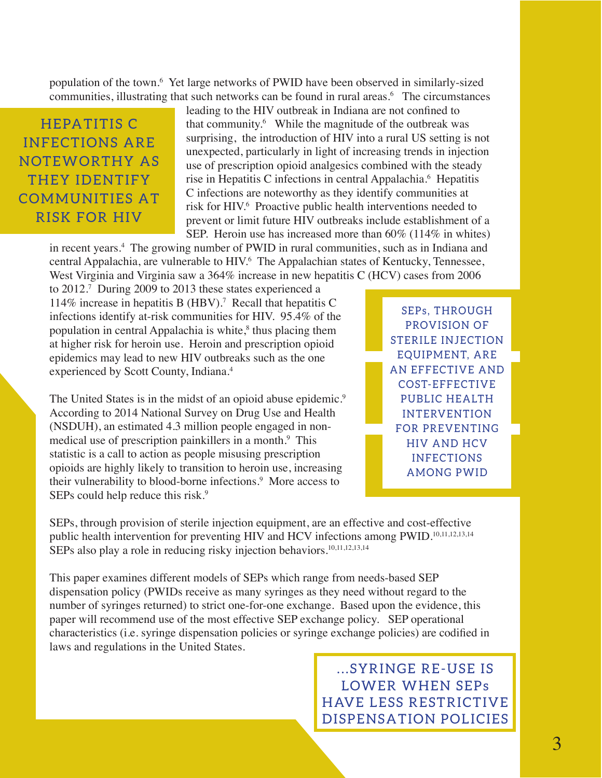population of the town.6 Yet large networks of PWID have been observed in similarly-sized communities, illustrating that such networks can be found in rural areas.6 The circumstances

## HEPATITIS C **INFECTIONS ARE** NOTEWORTHY AS THEY IDENTIFY **COMMUNITIES AT** RISK FOR HIV

leading to the HIV outbreak in Indiana are not confined to that community.6 While the magnitude of the outbreak was surprising, the introduction of HIV into a rural US setting is not unexpected, particularly in light of increasing trends in injection use of prescription opioid analgesics combined with the steady rise in Hepatitis C infections in central Appalachia.<sup>6</sup> Hepatitis C infections are noteworthy as they identify communities at risk for HIV.<sup>6</sup> Proactive public health interventions needed to prevent or limit future HIV outbreaks include establishment of a SEP. Heroin use has increased more than 60% (114% in whites)

in recent years.4 The growing number of PWID in rural communities, such as in Indiana and central Appalachia, are vulnerable to HIV.<sup>6</sup> The Appalachian states of Kentucky, Tennessee, West Virginia and Virginia saw a 364% increase in new hepatitis C (HCV) cases from 2006

to 2012.7 During 2009 to 2013 these states experienced a 114% increase in hepatitis B (HBV).<sup>7</sup> Recall that hepatitis C infections identify at-risk communities for HIV. 95.4% of the population in central Appalachia is white,<sup>8</sup> thus placing them at higher risk for heroin use. Heroin and prescription opioid epidemics may lead to new HIV outbreaks such as the one experienced by Scott County, Indiana.<sup>4</sup>

The United States is in the midst of an opioid abuse epidemic.<sup>9</sup> According to 2014 National Survey on Drug Use and Health (NSDUH), an estimated 4.3 million people engaged in nonmedical use of prescription painkillers in a month.<sup>9</sup> This statistic is a call to action as people misusing prescription opioids are highly likely to transition to heroin use, increasing their vulnerability to blood-borne infections.<sup>9</sup> More access to SEPs could help reduce this risk.<sup>9</sup>

SEPs. THROUGH PROVISION OF STERILE INJECTION EQUIPMENT, ARE AN EFFECTIVE AND COST-EFFECTIVE PUBLIC HEALTH **INTERVENTION** FOR PREVENTING HIV AND HCV INFECTIONS AMONG PWID

SEPs, through provision of sterile injection equipment, are an effective and cost-effective public health intervention for preventing HIV and HCV infections among PWID.<sup>10,11,12,13,14</sup> SEPs also play a role in reducing risky injection behaviors.<sup>10,11,12,13,14</sup>

This paper examines different models of SEPs which range from needs-based SEP dispensation policy (PWIDs receive as many syringes as they need without regard to the number of syringes returned) to strict one-for-one exchange. Based upon the evidence, this paper will recommend use of the most effective SEP exchange policy. SEP operational characteristics (i.e. syringe dispensation policies or syringe exchange policies) are codified in laws and regulations in the United States.

> ... SYRINGE RE-USE IS LOWER WHEN SEPs HAVE LESS RESTRICTIVE DISPENSATION POLICIES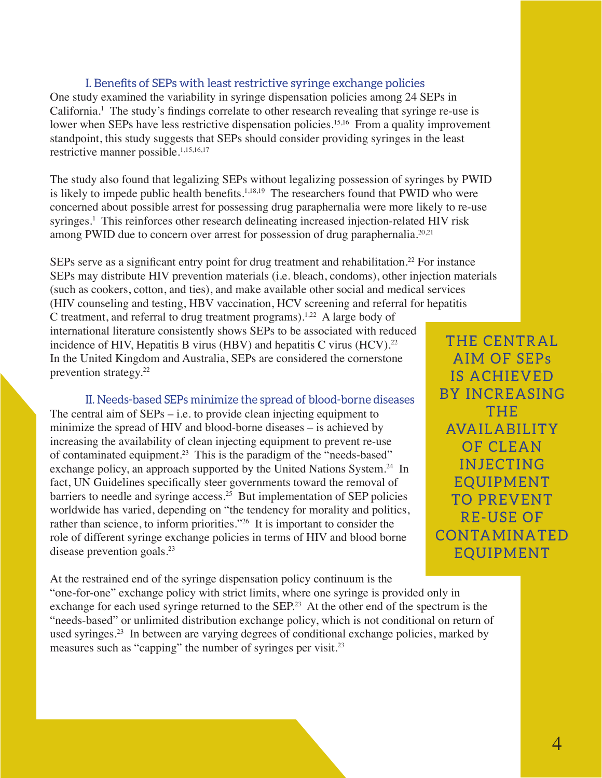### I. Benefits of SEPs with least restrictive syringe exchange policies

One study examined the variability in syringe dispensation policies among 24 SEPs in California.<sup>1</sup> The study's findings correlate to other research revealing that syringe re-use is lower when SEPs have less restrictive dispensation policies.<sup>15,16</sup> From a quality improvement standpoint, this study suggests that SEPs should consider providing syringes in the least restrictive manner possible.1,15,16,17

The study also found that legalizing SEPs without legalizing possession of syringes by PWID is likely to impede public health benefits.<sup>1,18,19</sup> The researchers found that PWID who were concerned about possible arrest for possessing drug paraphernalia were more likely to re-use syringes.<sup>1</sup> This reinforces other research delineating increased injection-related HIV risk among PWID due to concern over arrest for possession of drug paraphernalia.<sup>20,21</sup>

SEPs serve as a significant entry point for drug treatment and rehabilitation.<sup>22</sup> For instance SEPs may distribute HIV prevention materials (i.e. bleach, condoms), other injection materials (such as cookers, cotton, and ties), and make available other social and medical services (HIV counseling and testing, HBV vaccination, HCV screening and referral for hepatitis

C treatment, and referral to drug treatment programs).<sup>1,22</sup> A large body of international literature consistently shows SEPs to be associated with reduced incidence of HIV, Hepatitis B virus (HBV) and hepatitis C virus (HCV).<sup>22</sup> In the United Kingdom and Australia, SEPs are considered the cornerstone prevention strategy.22

II. Needs-based SEPs minimize the spread of blood-borne diseases The central aim of  $SEPs - i.e.$  to provide clean injecting equipment to minimize the spread of HIV and blood-borne diseases – is achieved by increasing the availability of clean injecting equipment to prevent re-use of contaminated equipment.23 This is the paradigm of the "needs-based" exchange policy, an approach supported by the United Nations System.<sup>24</sup> In fact, UN Guidelines specifically steer governments toward the removal of barriers to needle and syringe access.<sup>25</sup> But implementation of SEP policies worldwide has varied, depending on "the tendency for morality and politics, rather than science, to inform priorities."26 It is important to consider the role of different syringe exchange policies in terms of HIV and blood borne disease prevention goals.<sup>23</sup>

At the restrained end of the syringe dispensation policy continuum is the "one-for-one" exchange policy with strict limits, where one syringe is provided only in exchange for each used syringe returned to the SEP.<sup>23</sup> At the other end of the spectrum is the "needs-based" or unlimited distribution exchange policy, which is not conditional on return of used syringes.23 In between are varying degrees of conditional exchange policies, marked by measures such as "capping" the number of syringes per visit.<sup>23</sup>

THE CENTRAL AIM OF SEPs IS ACHIEVED **BY INCREASING** T H E **AVAILABILITY** OF CLEAN **INJECTING EQUIPMENT** TO PREVENT RE-USE OF CONTAMINATED EQUIPMENT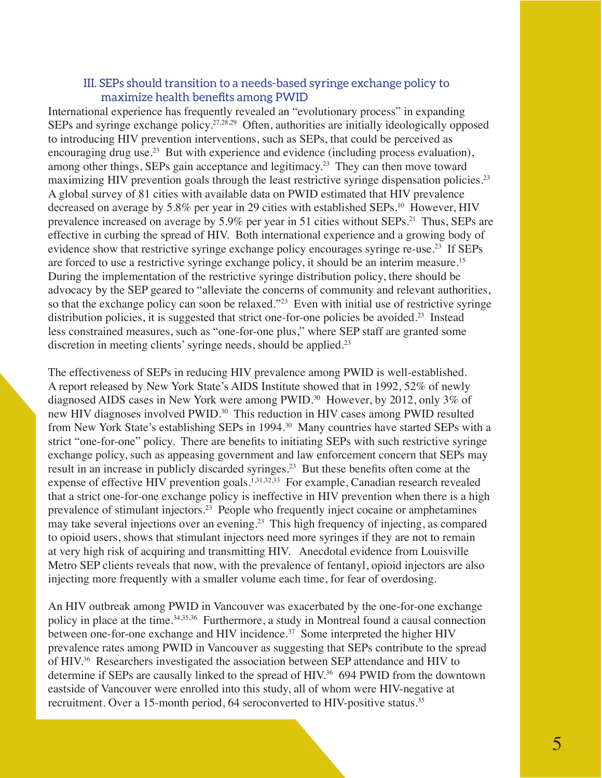### III. SEPs should transition to a needs-based syringe exchange policy to maximize health benefits among PWID

International experience has frequently revealed an "evolutionary process" in expanding SEPs and syringe exchange policy.<sup>27,28,29</sup> Often, authorities are initially ideologically opposed to introducing HIV prevention interventions, such as SEPs, that could be perceived as encouraging drug use.<sup>23</sup> But with experience and evidence (including process evaluation), among other things, SEPs gain acceptance and legitimacy.<sup>23</sup> They can then move toward maximizing HIV prevention goals through the least restrictive syringe dispensation policies.<sup>23</sup> A global survey of 81 cities with available data on PWID estimated that HIV prevalence decreased on average by 5.8% per year in 29 cities with established SEPs.<sup>10</sup> However, HIV prevalence increased on average by 5.9% per year in 51 cities without SEPs.<sup>21</sup> Thus, SEPs are effective in curbing the spread of HIV. Both international experience and a growing body of evidence show that restrictive syringe exchange policy encourages syringe re-use.<sup>23</sup> If SEPs are forced to use a restrictive syringe exchange policy, it should be an interim measure.15 During the implementation of the restrictive syringe distribution policy, there should be advocacy by the SEP geared to "alleviate the concerns of community and relevant authorities, so that the exchange policy can soon be relaxed."<sup>23</sup> Even with initial use of restrictive syringe distribution policies, it is suggested that strict one-for-one policies be avoided.<sup>23</sup> Instead less constrained measures, such as "one-for-one plus," where SEP staff are granted some discretion in meeting clients' syringe needs, should be applied.<sup>23</sup>

The effectiveness of SEPs in reducing HIV prevalence among PWID is well-established. A report released by New York State's AIDS Institute showed that in 1992, 52% of newly diagnosed AIDS cases in New York were among PWID.<sup>30</sup> However, by 2012, only 3% of new HIV diagnoses involved PWID.<sup>30</sup> This reduction in HIV cases among PWID resulted from New York State's establishing SEPs in 1994.<sup>30</sup> Many countries have started SEPs with a strict "one-for-one" policy. There are benefits to initiating SEPs with such restrictive syringe exchange policy, such as appeasing government and law enforcement concern that SEPs may result in an increase in publicly discarded syringes.23 But these benefits often come at the expense of effective HIV prevention goals.<sup>1,31,32,33</sup> For example, Canadian research revealed that a strict one-for-one exchange policy is ineffective in HIV prevention when there is a high prevalence of stimulant injectors.23 People who frequently inject cocaine or amphetamines may take several injections over an evening.23 This high frequency of injecting, as compared to opioid users, shows that stimulant injectors need more syringes if they are not to remain at very high risk of acquiring and transmitting HIV. Anecdotal evidence from Louisville Metro SEP clients reveals that now, with the prevalence of fentanyl, opioid injectors are also injecting more frequently with a smaller volume each time, for fear of overdosing.

An HIV outbreak among PWID in Vancouver was exacerbated by the one-for-one exchange policy in place at the time.<sup>34,35,36</sup> Furthermore, a study in Montreal found a causal connection between one-for-one exchange and HIV incidence.<sup>37</sup> Some interpreted the higher HIV prevalence rates among PWID in Vancouver as suggesting that SEPs contribute to the spread of HIV.36 Researchers investigated the association between SEP attendance and HIV to determine if SEPs are causally linked to the spread of HIV.<sup>36</sup> 694 PWID from the downtown eastside of Vancouver were enrolled into this study, all of whom were HIV-negative at recruitment. Over a 15-month period, 64 seroconverted to HIV-positive status.<sup>35</sup>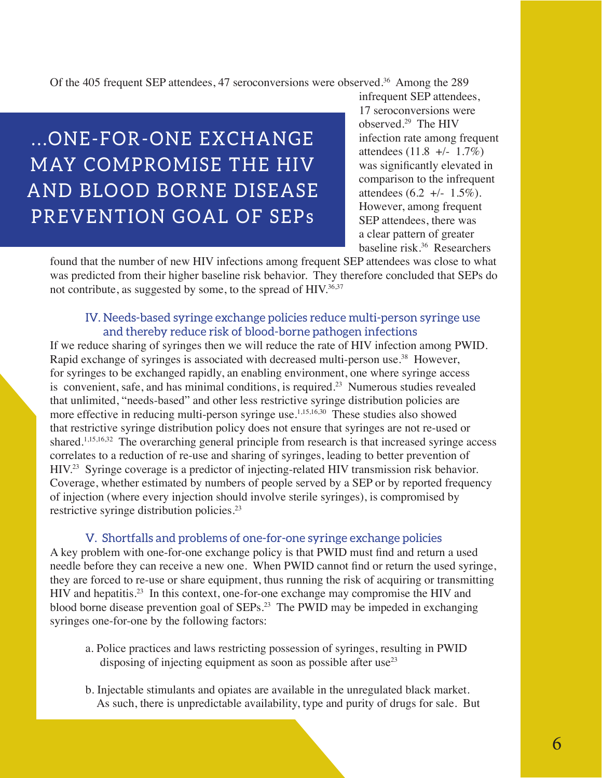Of the 405 frequent SEP attendees, 47 seroconversions were observed.<sup>36</sup> Among the 289

## ... ONE-FOR-ONE EXCHANGE MAY COMPROMISE THE HIV AND BLOOD BORNE DISEASE PREVENTION GOAL OF SEPs

infrequent SEP attendees, 17 seroconversions were observed.29 The HIV infection rate among frequent attendees  $(11.8 +/- 1.7\%)$ was significantly elevated in comparison to the infrequent attendees  $(6.2 +/- 1.5\%)$ . However, among frequent SEP attendees, there was a clear pattern of greater baseline risk.36 Researchers

found that the number of new HIV infections among frequent SEP attendees was close to what was predicted from their higher baseline risk behavior. They therefore concluded that SEPs do not contribute, as suggested by some, to the spread of HIV.<sup>36,37</sup>

### IV. Needs-based syringe exchange policies reduce multi-person syringe use and thereby reduce risk of blood-borne pathogen infections

If we reduce sharing of syringes then we will reduce the rate of HIV infection among PWID. Rapid exchange of syringes is associated with decreased multi-person use.<sup>38</sup> However, for syringes to be exchanged rapidly, an enabling environment, one where syringe access is convenient, safe, and has minimal conditions, is required.<sup>23</sup> Numerous studies revealed that unlimited, "needs-based" and other less restrictive syringe distribution policies are more effective in reducing multi-person syringe use.1,15,16,30 These studies also showed that restrictive syringe distribution policy does not ensure that syringes are not re-used or shared.<sup>1,15,16,32</sup> The overarching general principle from research is that increased syringe access correlates to a reduction of re-use and sharing of syringes, leading to better prevention of HIV.23 Syringe coverage is a predictor of injecting-related HIV transmission risk behavior. Coverage, whether estimated by numbers of people served by a SEP or by reported frequency of injection (where every injection should involve sterile syringes), is compromised by restrictive syringe distribution policies.<sup>23</sup>

### V. Shortfalls and problems of one-for-one syringe exchange policies

A key problem with one-for-one exchange policy is that PWID must find and return a used needle before they can receive a new one. When PWID cannot find or return the used syringe, they are forced to re-use or share equipment, thus running the risk of acquiring or transmitting HIV and hepatitis.<sup>23</sup> In this context, one-for-one exchange may compromise the HIV and blood borne disease prevention goal of SEPs.23 The PWID may be impeded in exchanging syringes one-for-one by the following factors:

- a. Police practices and laws restricting possession of syringes, resulting in PWID disposing of injecting equipment as soon as possible after use<sup>23</sup>
- b. Injectable stimulants and opiates are available in the unregulated black market. As such, there is unpredictable availability, type and purity of drugs for sale. But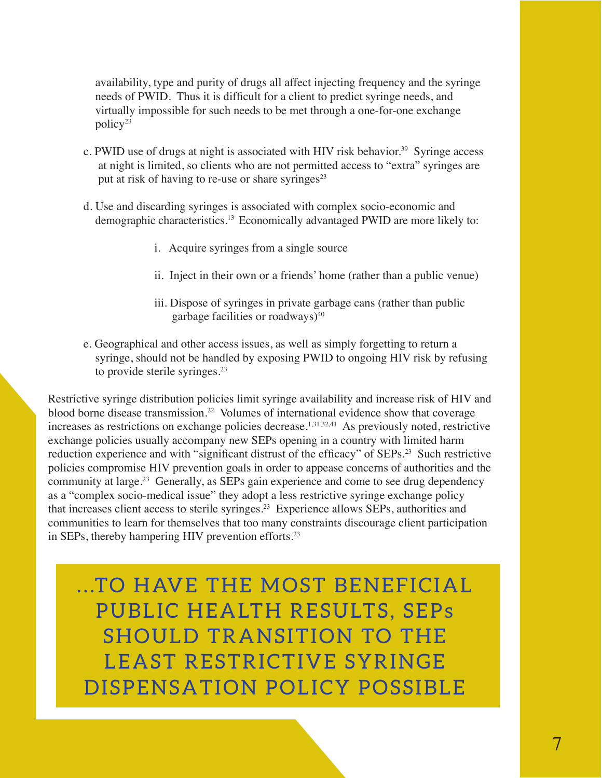availability, type and purity of drugs all affect injecting frequency and the syringe needs of PWID. Thus it is difficult for a client to predict syringe needs, and virtually impossible for such needs to be met through a one-for-one exchange  $\text{policy}^{23}$ 

- c. PWID use of drugs at night is associated with HIV risk behavior.<sup>39</sup> Syringe access at night is limited, so clients who are not permitted access to "extra" syringes are put at risk of having to re-use or share syringes $23$
- d. Use and discarding syringes is associated with complex socio-economic and demographic characteristics.<sup>13</sup> Economically advantaged PWID are more likely to:
	- i. Acquire syringes from a single source
	- ii. Inject in their own or a friends' home (rather than a public venue)
	- iii. Dispose of syringes in private garbage cans (rather than public garbage facilities or roadways)<sup>40</sup>
- e. Geographical and other access issues, as well as simply forgetting to return a syringe, should not be handled by exposing PWID to ongoing HIV risk by refusing to provide sterile syringes.<sup>23</sup>

Restrictive syringe distribution policies limit syringe availability and increase risk of HIV and blood borne disease transmission.<sup>22</sup> Volumes of international evidence show that coverage increases as restrictions on exchange policies decrease.<sup>1,31,32,41</sup> As previously noted, restrictive exchange policies usually accompany new SEPs opening in a country with limited harm reduction experience and with "significant distrust of the efficacy" of SEPs.<sup>23</sup> Such restrictive policies compromise HIV prevention goals in order to appease concerns of authorities and the community at large.<sup>23</sup> Generally, as SEPs gain experience and come to see drug dependency as a "complex socio-medical issue" they adopt a less restrictive syringe exchange policy that increases client access to sterile syringes.23 Experience allows SEPs, authorities and communities to learn for themselves that too many constraints discourage client participation in SEPs, thereby hampering HIV prevention efforts.<sup>23</sup>

...TO HAVE THE MOST BENEFICIAL PUBLIC HEALTH RESULTS, SEPS SHOULD TRANSITION TO THE LEAST RESTRICTIVE SYRINGE DISPENSATION POLICY POSSIBLE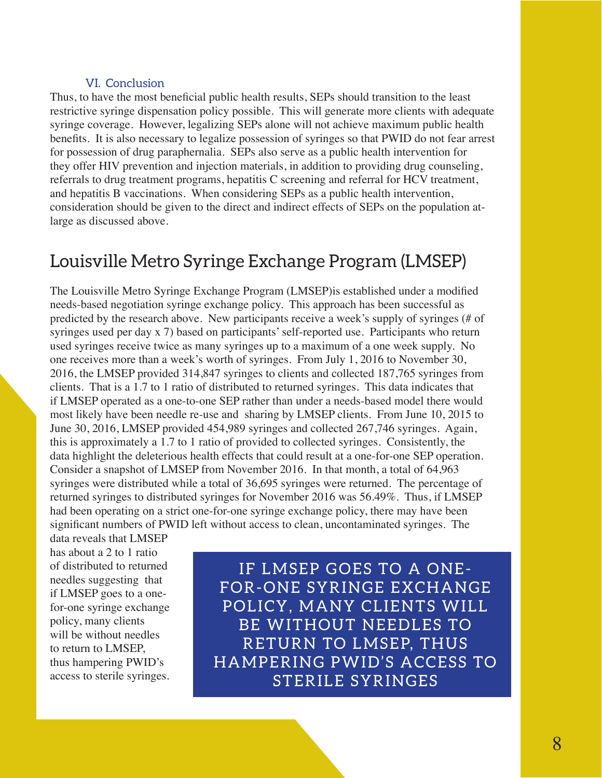### VI. Conclusion

Thus, to have the most beneficial public health results, SEPs should transition to the least restrictive syringe dispensation policy possible. This will generate more clients with adequate syringe coverage. However, legalizing SEPs alone will not achieve maximum public health benefits. It is also necessary to legalize possession of syringes so that PWID do not fear arrest for possession of drug paraphernalia. SEPs also serve as a public health intervention for they offer HIV prevention and injection materials, in addition to providing drug counseling, referrals to drug treatment programs, hepatitis C screening and referral for HCV treatment, and hepatitis B vaccinations. When considering SEPs as a public health intervention, consideration should be given to the direct and indirect effects of SEPs on the population atlarge as discussed above.

## Louisville Metro Syringe Exchange Program (LMSEP)

The Louisville Metro Syringe Exchange Program (LMSEP)is established under a modified needs-based negotiation syringe exchange policy. This approach has been successful as predicted by the research above. New participants receive a week's supply of syringes (# of syringes used per day x 7) based on participants' self-reported use. Participants who return used syringes receive twice as many syringes up to a maximum of a one week supply. No one receives more than a week's worth of syringes. From July 1, 2016 to November 30, 2016, the LMSEP provided 314,847 syringes to clients and collected 187,765 syringes from clients. That is a 1.7 to 1 ratio of distributed to returned syringes. This data indicates that if LMSEP operated as a one-to-one SEP rather than under a needs-based model there would most likely have been needle re-use and sharing by LMSEP clients. From June 10, 2015 to June 30, 2016, LMSEP provided 454,989 syringes and collected 267,746 syringes. Again, this is approximately a 1.7 to 1 ratio of provided to collected syringes. Consistently, the data highlight the deleterious health effects that could result at a one-for-one SEP operation. Consider a snapshot of LMSEP from November 2016. In that month, a total of 64,963 syringes were distributed while a total of 36,695 syringes were returned. The percentage of returned syringes to distributed syringes for November 2016 was 56.49%. Thus, if LMSEP had been operating on a strict one-for-one syringe exchange policy, there may have been significant numbers of PWID left without access to clean, uncontaminated syringes. The

data reveals that LMSEP has about a 2 to 1 ratio of distributed to returned needles suggesting that if LMSEP goes to a onefor-one syringe exchange policy, many clients will be without needles to return to LMSEP, thus hampering PWID's access to sterile syringes.

IF LMSEP GOES TO A ONE-FOR-ONE SYRINGE EXCHANGE POLICY, MANY CLIENTS WILL BE WITHOUT NEEDLES TO RETURN TO LMSEP, THUS HAMPERING PWID'S ACCESS TO STERILE SYRINGES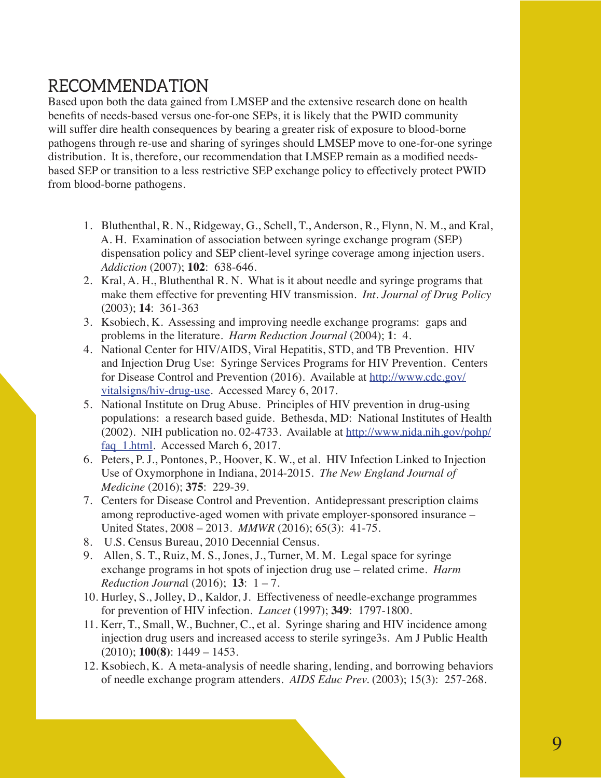## RECOMMENDATION

Based upon both the data gained from LMSEP and the extensive research done on health benefits of needs-based versus one-for-one SEPs, it is likely that the PWID community will suffer dire health consequences by bearing a greater risk of exposure to blood-borne pathogens through re-use and sharing of syringes should LMSEP move to one-for-one syringe distribution. It is, therefore, our recommendation that LMSEP remain as a modified needsbased SEP or transition to a less restrictive SEP exchange policy to effectively protect PWID from blood-borne pathogens.

- 1. Bluthenthal, R. N., Ridgeway, G., Schell, T., Anderson, R., Flynn, N. M., and Kral, A. H. Examination of association between syringe exchange program (SEP) dispensation policy and SEP client-level syringe coverage among injection users. *Addiction* (2007); **102**: 638-646.
- 2. Kral, A. H., Bluthenthal R. N. What is it about needle and syringe programs that make them effective for preventing HIV transmission. *Int. Journal of Drug Policy*  (2003); **14**: 361-363
- 3. Ksobiech, K. Assessing and improving needle exchange programs: gaps and problems in the literature. *Harm Reduction Journal* (2004); **1**: 4.
- 4. National Center for HIV/AIDS, Viral Hepatitis, STD, and TB Prevention. HIV and Injection Drug Use: Syringe Services Programs for HIV Prevention. Centers for Disease Control and Prevention (2016). Available at http://www.cdc.gov/ vitalsigns/hiv-drug-use. Accessed Marcy 6, 2017.
- 5. National Institute on Drug Abuse. Principles of HIV prevention in drug-using populations: a research based guide. Bethesda, MD: National Institutes of Health (2002). NIH publication no. 02-4733. Available at http://www.nida.nih.gov/pohp/ faq 1.html. Accessed March 6, 2017.
- 6. Peters, P. J., Pontones, P., Hoover, K. W., et al. HIV Infection Linked to Injection Use of Oxymorphone in Indiana, 2014-2015. *The New England Journal of Medicine* (2016); **375**: 229-39.
- 7. Centers for Disease Control and Prevention. Antidepressant prescription claims among reproductive-aged women with private employer-sponsored insurance – United States, 2008 – 2013. *MMWR* (2016); 65(3): 41-75.
- 8. U.S. Census Bureau, 2010 Decennial Census.
- 9. Allen, S. T., Ruiz, M. S., Jones, J., Turner, M. M. Legal space for syringe exchange programs in hot spots of injection drug use – related crime. *Harm Reduction Journa*l (2016); **13**: 1 – 7.
- 10. Hurley, S., Jolley, D., Kaldor, J. Effectiveness of needle-exchange programmes for prevention of HIV infection. *Lancet* (1997); **349**: 1797-1800.
- 11. Kerr, T., Small, W., Buchner, C., et al. Syringe sharing and HIV incidence among injection drug users and increased access to sterile syringe3s. Am J Public Health (2010); **100(8)**: 1449 – 1453.
- 12. Ksobiech, K. A meta-analysis of needle sharing, lending, and borrowing behaviors of needle exchange program attenders. *AIDS Educ Prev.* (2003); 15(3): 257-268.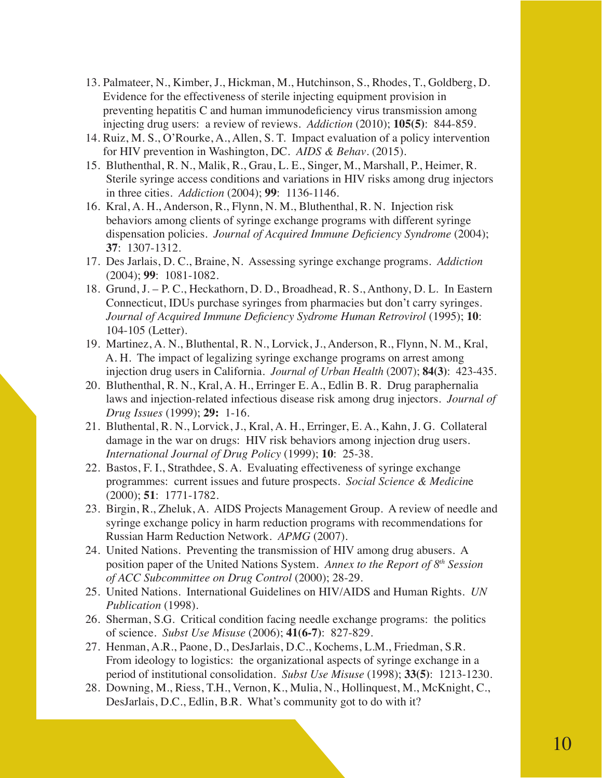- 13. Palmateer, N., Kimber, J., Hickman, M., Hutchinson, S., Rhodes, T., Goldberg, D. Evidence for the effectiveness of sterile injecting equipment provision in preventing hepatitis C and human immunodeficiency virus transmission among injecting drug users: a review of reviews. *Addiction* (2010); **105(5)**: 844-859.
- 14. Ruiz, M. S., O'Rourke, A., Allen, S. T. Impact evaluation of a policy intervention for HIV prevention in Washington, DC. *AIDS & Behav*. (2015).
- 15. Bluthenthal, R. N., Malik, R., Grau, L. E., Singer, M., Marshall, P., Heimer, R. Sterile syringe access conditions and variations in HIV risks among drug injectors in three cities. *Addiction* (2004); **99**: 1136-1146.
- 16. Kral, A. H., Anderson, R., Flynn, N. M., Bluthenthal, R. N. Injection risk behaviors among clients of syringe exchange programs with different syringe dispensation policies. *Journal of Acquired Immune Deficiency Syndrome* (2004); **37**: 1307-1312.
- 17. Des Jarlais, D. C., Braine, N. Assessing syringe exchange programs. *Addiction* (2004); **99**: 1081-1082.
- 18. Grund, J. P. C., Heckathorn, D. D., Broadhead, R. S., Anthony, D. L. In Eastern Connecticut, IDUs purchase syringes from pharmacies but don't carry syringes. *Journal of Acquired Immune Deficiency Sydrome Human Retrovirol* (1995); **10**: 104-105 (Letter).
- 19. Martinez, A. N., Bluthental, R. N., Lorvick, J., Anderson, R., Flynn, N. M., Kral, A. H. The impact of legalizing syringe exchange programs on arrest among injection drug users in California. *Journal of Urban Health* (2007); **84(3)**: 423-435.
- 20. Bluthenthal, R. N., Kral, A. H., Erringer E. A., Edlin B. R. Drug paraphernalia laws and injection-related infectious disease risk among drug injectors. *Journal of Drug Issues* (1999); **29:** 1-16.
- 21. Bluthental, R. N., Lorvick, J., Kral, A. H., Erringer, E. A., Kahn, J. G. Collateral damage in the war on drugs: HIV risk behaviors among injection drug users. *International Journal of Drug Policy* (1999); **10**: 25-38.
- 22. Bastos, F. I., Strathdee, S. A. Evaluating effectiveness of syringe exchange programmes: current issues and future prospects. *Social Science & Medicin*e (2000); **51**: 1771-1782.
- 23. Birgin, R., Zheluk, A. AIDS Projects Management Group. A review of needle and syringe exchange policy in harm reduction programs with recommendations for Russian Harm Reduction Network. *APMG* (2007).
- 24. United Nations. Preventing the transmission of HIV among drug abusers. A position paper of the United Nations System. *Annex to the Report of 8th Session of ACC Subcommittee on Drug Control* (2000); 28-29.
- 25. United Nations. International Guidelines on HIV/AIDS and Human Rights. *UN Publication* (1998).
- 26. Sherman, S.G. Critical condition facing needle exchange programs: the politics of science. *Subst Use Misuse* (2006); **41(6-7)**: 827-829.
- 27. Henman, A.R., Paone, D., DesJarlais, D.C., Kochems, L.M., Friedman, S.R. From ideology to logistics: the organizational aspects of syringe exchange in a period of institutional consolidation. *Subst Use Misuse* (1998); **33(5)**: 1213-1230.
- 28. Downing, M., Riess, T.H., Vernon, K., Mulia, N., Hollinquest, M., McKnight, C., DesJarlais, D.C., Edlin, B.R. What's community got to do with it?